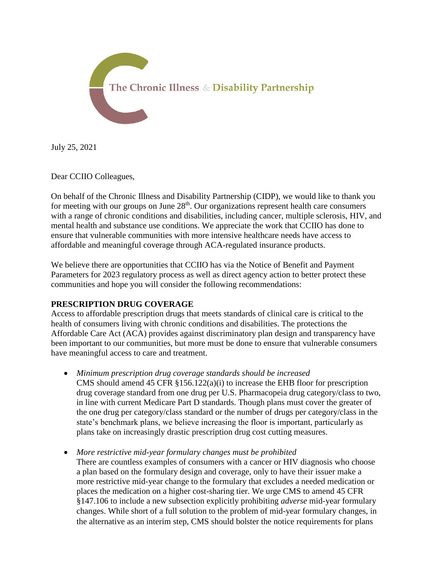

July 25, 2021

Dear CCIIO Colleagues,

On behalf of the Chronic Illness and Disability Partnership (CIDP), we would like to thank you for meeting with our groups on June  $28<sup>th</sup>$ . Our organizations represent health care consumers with a range of chronic conditions and disabilities, including cancer, multiple sclerosis, HIV, and mental health and substance use conditions. We appreciate the work that CCIIO has done to ensure that vulnerable communities with more intensive healthcare needs have access to affordable and meaningful coverage through ACA-regulated insurance products.

We believe there are opportunities that CCIIO has via the Notice of Benefit and Payment Parameters for 2023 regulatory process as well as direct agency action to better protect these communities and hope you will consider the following recommendations:

# **PRESCRIPTION DRUG COVERAGE**

Access to affordable prescription drugs that meets standards of clinical care is critical to the health of consumers living with chronic conditions and disabilities. The protections the Affordable Care Act (ACA) provides against discriminatory plan design and transparency have been important to our communities, but more must be done to ensure that vulnerable consumers have meaningful access to care and treatment.

- *Minimum prescription drug coverage standards should be increased* CMS should amend 45 CFR  $\S 156.122(a)(i)$  to increase the EHB floor for prescription drug coverage standard from one drug per U.S. Pharmacopeia drug category/class to two, in line with current Medicare Part D standards. Though plans must cover the greater of the one drug per category/class standard or the number of drugs per category/class in the state's benchmark plans, we believe increasing the floor is important, particularly as plans take on increasingly drastic prescription drug cost cutting measures.
- *More restrictive mid-year formulary changes must be prohibited* There are countless examples of consumers with a cancer or HIV diagnosis who choose a plan based on the formulary design and coverage, only to have their issuer make a more restrictive mid-year change to the formulary that excludes a needed medication or places the medication on a higher cost-sharing tier. We urge CMS to amend 45 CFR §147.106 to include a new subsection explicitly prohibiting *adverse* mid-year formulary changes. While short of a full solution to the problem of mid-year formulary changes, in the alternative as an interim step, CMS should bolster the notice requirements for plans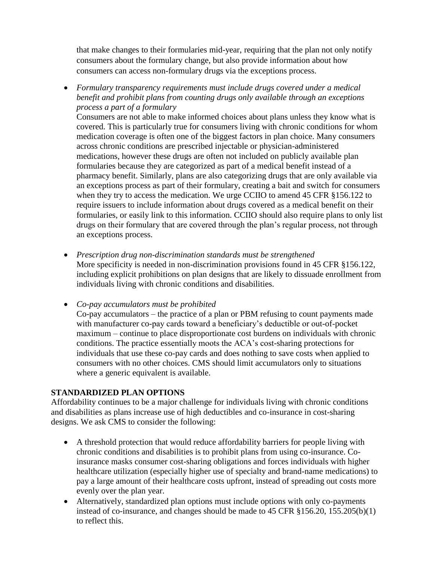that make changes to their formularies mid-year, requiring that the plan not only notify consumers about the formulary change, but also provide information about how consumers can access non-formulary drugs via the exceptions process.

 *Formulary transparency requirements must include drugs covered under a medical benefit and prohibit plans from counting drugs only available through an exceptions process a part of a formulary*

Consumers are not able to make informed choices about plans unless they know what is covered. This is particularly true for consumers living with chronic conditions for whom medication coverage is often one of the biggest factors in plan choice. Many consumers across chronic conditions are prescribed injectable or physician-administered medications, however these drugs are often not included on publicly available plan formularies because they are categorized as part of a medical benefit instead of a pharmacy benefit. Similarly, plans are also categorizing drugs that are only available via an exceptions process as part of their formulary, creating a bait and switch for consumers when they try to access the medication. We urge CCIIO to amend 45 CFR §156.122 to require issuers to include information about drugs covered as a medical benefit on their formularies, or easily link to this information. CCIIO should also require plans to only list drugs on their formulary that are covered through the plan's regular process, not through an exceptions process.

- *Prescription drug non-discrimination standards must be strengthened* More specificity is needed in non-discrimination provisions found in 45 CFR §156.122, including explicit prohibitions on plan designs that are likely to dissuade enrollment from individuals living with chronic conditions and disabilities.
- *Co-pay accumulators must be prohibited*

Co-pay accumulators – the practice of a plan or PBM refusing to count payments made with manufacturer co-pay cards toward a beneficiary's deductible or out-of-pocket maximum – continue to place disproportionate cost burdens on individuals with chronic conditions. The practice essentially moots the ACA's cost-sharing protections for individuals that use these co-pay cards and does nothing to save costs when applied to consumers with no other choices. CMS should limit accumulators only to situations where a generic equivalent is available.

## **STANDARDIZED PLAN OPTIONS**

Affordability continues to be a major challenge for individuals living with chronic conditions and disabilities as plans increase use of high deductibles and co-insurance in cost-sharing designs. We ask CMS to consider the following:

- A threshold protection that would reduce affordability barriers for people living with chronic conditions and disabilities is to prohibit plans from using co-insurance. Coinsurance masks consumer cost-sharing obligations and forces individuals with higher healthcare utilization (especially higher use of specialty and brand-name medications) to pay a large amount of their healthcare costs upfront, instead of spreading out costs more evenly over the plan year.
- Alternatively, standardized plan options must include options with only co-payments instead of co-insurance, and changes should be made to 45 CFR §156.20, 155.205(b)(1) to reflect this.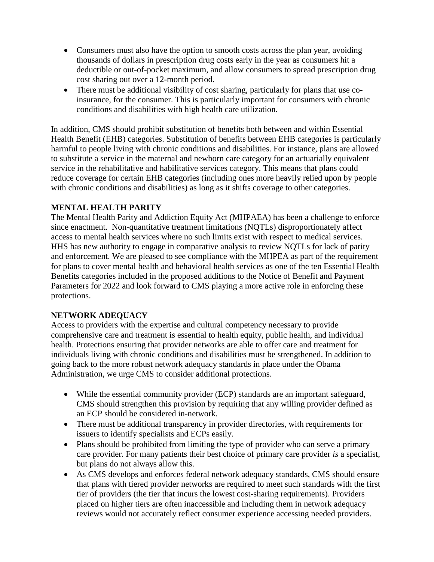- Consumers must also have the option to smooth costs across the plan year, avoiding thousands of dollars in prescription drug costs early in the year as consumers hit a deductible or out-of-pocket maximum, and allow consumers to spread prescription drug cost sharing out over a 12-month period.
- There must be additional visibility of cost sharing, particularly for plans that use coinsurance, for the consumer. This is particularly important for consumers with chronic conditions and disabilities with high health care utilization.

In addition, CMS should prohibit substitution of benefits both between and within Essential Health Benefit (EHB) categories. Substitution of benefits between EHB categories is particularly harmful to people living with chronic conditions and disabilities. For instance, plans are allowed to substitute a service in the maternal and newborn care category for an actuarially equivalent service in the rehabilitative and habilitative services category. This means that plans could reduce coverage for certain EHB categories (including ones more heavily relied upon by people with chronic conditions and disabilities) as long as it shifts coverage to other categories.

# **MENTAL HEALTH PARITY**

The Mental Health Parity and Addiction Equity Act (MHPAEA) has been a challenge to enforce since enactment. Non-quantitative treatment limitations (NQTLs) disproportionately affect access to mental health services where no such limits exist with respect to medical services. HHS has new authority to engage in comparative analysis to review NQTLs for lack of parity and enforcement. We are pleased to see compliance with the MHPEA as part of the requirement for plans to cover mental health and behavioral health services as one of the ten Essential Health Benefits categories included in the proposed additions to the Notice of Benefit and Payment Parameters for 2022 and look forward to CMS playing a more active role in enforcing these protections.

# **NETWORK ADEQUACY**

Access to providers with the expertise and cultural competency necessary to provide comprehensive care and treatment is essential to health equity, public health, and individual health. Protections ensuring that provider networks are able to offer care and treatment for individuals living with chronic conditions and disabilities must be strengthened. In addition to going back to the more robust network adequacy standards in place under the Obama Administration, we urge CMS to consider additional protections.

- While the essential community provider (ECP) standards are an important safeguard, CMS should strengthen this provision by requiring that any willing provider defined as an ECP should be considered in-network.
- There must be additional transparency in provider directories, with requirements for issuers to identify specialists and ECPs easily.
- Plans should be prohibited from limiting the type of provider who can serve a primary care provider. For many patients their best choice of primary care provider *is* a specialist, but plans do not always allow this.
- As CMS develops and enforces federal network adequacy standards, CMS should ensure that plans with tiered provider networks are required to meet such standards with the first tier of providers (the tier that incurs the lowest cost-sharing requirements). Providers placed on higher tiers are often inaccessible and including them in network adequacy reviews would not accurately reflect consumer experience accessing needed providers.